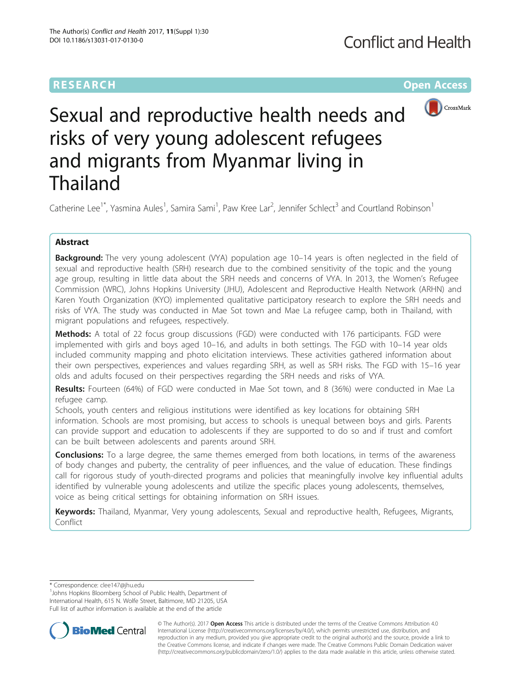# **RESEARCH CHEAR CHEAR CHEAR CHEAR CHEAR CHEAR CHEAR CHEAR CHEAR CHEAR CHEAR CHEAR CHEAR CHEAR CHEAR CHEAR CHEAR**



# Sexual and reproductive health needs and risks of very young adolescent refugees and migrants from Myanmar living in Thailand

Catherine Lee<sup>1\*</sup>, Yasmina Aules<sup>1</sup>, Samira Sami<sup>1</sup>, Paw Kree Lar<sup>2</sup>, Jennifer Schlect<sup>3</sup> and Courtland Robinson<sup>1</sup>

## Abstract

**Background:** The very young adolescent (VYA) population age 10-14 years is often neglected in the field of sexual and reproductive health (SRH) research due to the combined sensitivity of the topic and the young age group, resulting in little data about the SRH needs and concerns of VYA. In 2013, the Women's Refugee Commission (WRC), Johns Hopkins University (JHU), Adolescent and Reproductive Health Network (ARHN) and Karen Youth Organization (KYO) implemented qualitative participatory research to explore the SRH needs and risks of VYA. The study was conducted in Mae Sot town and Mae La refugee camp, both in Thailand, with migrant populations and refugees, respectively.

Methods: A total of 22 focus group discussions (FGD) were conducted with 176 participants. FGD were implemented with girls and boys aged 10–16, and adults in both settings. The FGD with 10–14 year olds included community mapping and photo elicitation interviews. These activities gathered information about their own perspectives, experiences and values regarding SRH, as well as SRH risks. The FGD with 15–16 year olds and adults focused on their perspectives regarding the SRH needs and risks of VYA.

Results: Fourteen (64%) of FGD were conducted in Mae Sot town, and 8 (36%) were conducted in Mae La refugee camp.

Schools, youth centers and religious institutions were identified as key locations for obtaining SRH information. Schools are most promising, but access to schools is unequal between boys and girls. Parents can provide support and education to adolescents if they are supported to do so and if trust and comfort can be built between adolescents and parents around SRH.

**Conclusions:** To a large degree, the same themes emerged from both locations, in terms of the awareness of body changes and puberty, the centrality of peer influences, and the value of education. These findings call for rigorous study of youth-directed programs and policies that meaningfully involve key influential adults identified by vulnerable young adolescents and utilize the specific places young adolescents, themselves, voice as being critical settings for obtaining information on SRH issues.

Keywords: Thailand, Myanmar, Very young adolescents, Sexual and reproductive health, Refugees, Migrants, Conflict

\* Correspondence: [clee147@jhu.edu](mailto:clee147@jhu.edu) <sup>1</sup>

<sup>1</sup> Johns Hopkins Bloomberg School of Public Health, Department of International Health, 615 N. Wolfe Street, Baltimore, MD 21205, USA Full list of author information is available at the end of the article



© The Author(s). 2017 **Open Access** This article is distributed under the terms of the Creative Commons Attribution 4.0 International License [\(http://creativecommons.org/licenses/by/4.0/](http://creativecommons.org/licenses/by/4.0/)), which permits unrestricted use, distribution, and reproduction in any medium, provided you give appropriate credit to the original author(s) and the source, provide a link to the Creative Commons license, and indicate if changes were made. The Creative Commons Public Domain Dedication waiver [\(http://creativecommons.org/publicdomain/zero/1.0/](http://creativecommons.org/publicdomain/zero/1.0/)) applies to the data made available in this article, unless otherwise stated.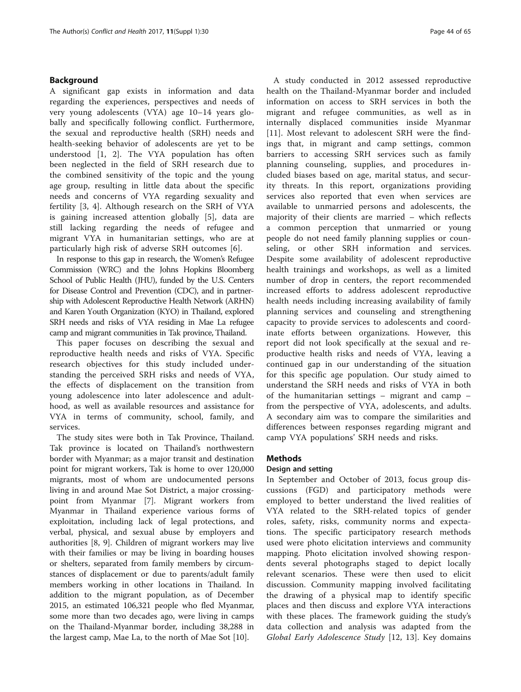## Background

A significant gap exists in information and data regarding the experiences, perspectives and needs of very young adolescents (VYA) age 10–14 years globally and specifically following conflict. Furthermore, the sexual and reproductive health (SRH) needs and health-seeking behavior of adolescents are yet to be understood [\[1](#page-9-0), [2\]](#page-9-0). The VYA population has often been neglected in the field of SRH research due to the combined sensitivity of the topic and the young age group, resulting in little data about the specific needs and concerns of VYA regarding sexuality and fertility [\[3](#page-9-0), [4\]](#page-9-0). Although research on the SRH of VYA is gaining increased attention globally [\[5](#page-9-0)], data are still lacking regarding the needs of refugee and migrant VYA in humanitarian settings, who are at particularly high risk of adverse SRH outcomes [[6\]](#page-9-0).

In response to this gap in research, the Women's Refugee Commission (WRC) and the Johns Hopkins Bloomberg School of Public Health (JHU), funded by the U.S. Centers for Disease Control and Prevention (CDC), and in partnership with Adolescent Reproductive Health Network (ARHN) and Karen Youth Organization (KYO) in Thailand, explored SRH needs and risks of VYA residing in Mae La refugee camp and migrant communities in Tak province, Thailand.

This paper focuses on describing the sexual and reproductive health needs and risks of VYA. Specific research objectives for this study included understanding the perceived SRH risks and needs of VYA, the effects of displacement on the transition from young adolescence into later adolescence and adulthood, as well as available resources and assistance for VYA in terms of community, school, family, and services.

The study sites were both in Tak Province, Thailand. Tak province is located on Thailand's northwestern border with Myanmar; as a major transit and destination point for migrant workers, Tak is home to over 120,000 migrants, most of whom are undocumented persons living in and around Mae Sot District, a major crossingpoint from Myanmar [[7\]](#page-9-0). Migrant workers from Myanmar in Thailand experience various forms of exploitation, including lack of legal protections, and verbal, physical, and sexual abuse by employers and authorities [\[8](#page-9-0), [9\]](#page-9-0). Children of migrant workers may live with their families or may be living in boarding houses or shelters, separated from family members by circumstances of displacement or due to parents/adult family members working in other locations in Thailand. In addition to the migrant population, as of December 2015, an estimated 106,321 people who fled Myanmar, some more than two decades ago, were living in camps on the Thailand-Myanmar border, including 38,288 in the largest camp, Mae La, to the north of Mae Sot [[10](#page-9-0)].

A study conducted in 2012 assessed reproductive health on the Thailand-Myanmar border and included information on access to SRH services in both the migrant and refugee communities, as well as in internally displaced communities inside Myanmar [[11\]](#page-9-0). Most relevant to adolescent SRH were the findings that, in migrant and camp settings, common barriers to accessing SRH services such as family planning counseling, supplies, and procedures included biases based on age, marital status, and security threats. In this report, organizations providing services also reported that even when services are available to unmarried persons and adolescents, the majority of their clients are married – which reflects a common perception that unmarried or young people do not need family planning supplies or counseling, or other SRH information and services. Despite some availability of adolescent reproductive health trainings and workshops, as well as a limited number of drop in centers, the report recommended increased efforts to address adolescent reproductive health needs including increasing availability of family planning services and counseling and strengthening capacity to provide services to adolescents and coordinate efforts between organizations. However, this report did not look specifically at the sexual and reproductive health risks and needs of VYA, leaving a continued gap in our understanding of the situation for this specific age population. Our study aimed to understand the SRH needs and risks of VYA in both of the humanitarian settings – migrant and camp – from the perspective of VYA, adolescents, and adults. A secondary aim was to compare the similarities and differences between responses regarding migrant and camp VYA populations' SRH needs and risks.

## Methods

## Design and setting

In September and October of 2013, focus group discussions (FGD) and participatory methods were employed to better understand the lived realities of VYA related to the SRH-related topics of gender roles, safety, risks, community norms and expectations. The specific participatory research methods used were photo elicitation interviews and community mapping. Photo elicitation involved showing respondents several photographs staged to depict locally relevant scenarios. These were then used to elicit discussion. Community mapping involved facilitating the drawing of a physical map to identify specific places and then discuss and explore VYA interactions with these places. The framework guiding the study's data collection and analysis was adapted from the Global Early Adolescence Study [\[12, 13\]](#page-9-0). Key domains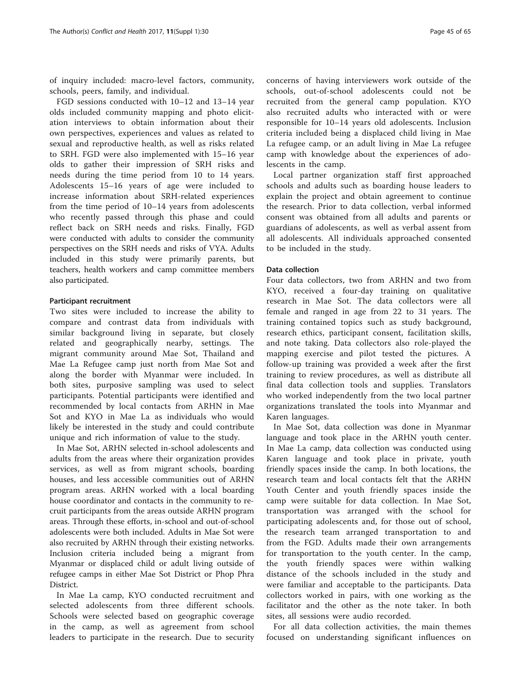of inquiry included: macro-level factors, community, schools, peers, family, and individual.

FGD sessions conducted with 10–12 and 13–14 year olds included community mapping and photo elicitation interviews to obtain information about their own perspectives, experiences and values as related to sexual and reproductive health, as well as risks related to SRH. FGD were also implemented with 15–16 year olds to gather their impression of SRH risks and needs during the time period from 10 to 14 years. Adolescents 15–16 years of age were included to increase information about SRH-related experiences from the time period of 10–14 years from adolescents who recently passed through this phase and could reflect back on SRH needs and risks. Finally, FGD were conducted with adults to consider the community perspectives on the SRH needs and risks of VYA. Adults included in this study were primarily parents, but teachers, health workers and camp committee members also participated.

#### Participant recruitment

Two sites were included to increase the ability to compare and contrast data from individuals with similar background living in separate, but closely related and geographically nearby, settings. The migrant community around Mae Sot, Thailand and Mae La Refugee camp just north from Mae Sot and along the border with Myanmar were included. In both sites, purposive sampling was used to select participants. Potential participants were identified and recommended by local contacts from ARHN in Mae Sot and KYO in Mae La as individuals who would likely be interested in the study and could contribute unique and rich information of value to the study.

In Mae Sot, ARHN selected in-school adolescents and adults from the areas where their organization provides services, as well as from migrant schools, boarding houses, and less accessible communities out of ARHN program areas. ARHN worked with a local boarding house coordinator and contacts in the community to recruit participants from the areas outside ARHN program areas. Through these efforts, in-school and out-of-school adolescents were both included. Adults in Mae Sot were also recruited by ARHN through their existing networks. Inclusion criteria included being a migrant from Myanmar or displaced child or adult living outside of refugee camps in either Mae Sot District or Phop Phra District.

In Mae La camp, KYO conducted recruitment and selected adolescents from three different schools. Schools were selected based on geographic coverage in the camp, as well as agreement from school leaders to participate in the research. Due to security

concerns of having interviewers work outside of the schools, out-of-school adolescents could not be recruited from the general camp population. KYO also recruited adults who interacted with or were responsible for 10–14 years old adolescents. Inclusion criteria included being a displaced child living in Mae La refugee camp, or an adult living in Mae La refugee camp with knowledge about the experiences of adolescents in the camp.

Local partner organization staff first approached schools and adults such as boarding house leaders to explain the project and obtain agreement to continue the research. Prior to data collection, verbal informed consent was obtained from all adults and parents or guardians of adolescents, as well as verbal assent from all adolescents. All individuals approached consented to be included in the study.

#### Data collection

Four data collectors, two from ARHN and two from KYO, received a four-day training on qualitative research in Mae Sot. The data collectors were all female and ranged in age from 22 to 31 years. The training contained topics such as study background, research ethics, participant consent, facilitation skills, and note taking. Data collectors also role-played the mapping exercise and pilot tested the pictures. A follow-up training was provided a week after the first training to review procedures, as well as distribute all final data collection tools and supplies. Translators who worked independently from the two local partner organizations translated the tools into Myanmar and Karen languages.

In Mae Sot, data collection was done in Myanmar language and took place in the ARHN youth center. In Mae La camp, data collection was conducted using Karen language and took place in private, youth friendly spaces inside the camp. In both locations, the research team and local contacts felt that the ARHN Youth Center and youth friendly spaces inside the camp were suitable for data collection. In Mae Sot, transportation was arranged with the school for participating adolescents and, for those out of school, the research team arranged transportation to and from the FGD. Adults made their own arrangements for transportation to the youth center. In the camp, the youth friendly spaces were within walking distance of the schools included in the study and were familiar and acceptable to the participants. Data collectors worked in pairs, with one working as the facilitator and the other as the note taker. In both sites, all sessions were audio recorded.

For all data collection activities, the main themes focused on understanding significant influences on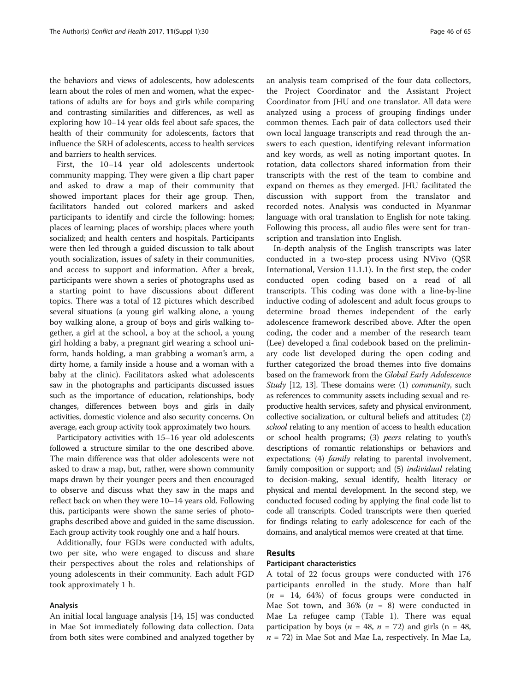the behaviors and views of adolescents, how adolescents learn about the roles of men and women, what the expectations of adults are for boys and girls while comparing and contrasting similarities and differences, as well as exploring how 10–14 year olds feel about safe spaces, the health of their community for adolescents, factors that influence the SRH of adolescents, access to health services and barriers to health services.

First, the 10–14 year old adolescents undertook community mapping. They were given a flip chart paper and asked to draw a map of their community that showed important places for their age group. Then, facilitators handed out colored markers and asked participants to identify and circle the following: homes; places of learning; places of worship; places where youth socialized; and health centers and hospitals. Participants were then led through a guided discussion to talk about youth socialization, issues of safety in their communities, and access to support and information. After a break, participants were shown a series of photographs used as a starting point to have discussions about different topics. There was a total of 12 pictures which described several situations (a young girl walking alone, a young boy walking alone, a group of boys and girls walking together, a girl at the school, a boy at the school, a young girl holding a baby, a pregnant girl wearing a school uniform, hands holding, a man grabbing a woman's arm, a dirty home, a family inside a house and a woman with a baby at the clinic). Facilitators asked what adolescents saw in the photographs and participants discussed issues such as the importance of education, relationships, body changes, differences between boys and girls in daily activities, domestic violence and also security concerns. On average, each group activity took approximately two hours.

Participatory activities with 15–16 year old adolescents followed a structure similar to the one described above. The main difference was that older adolescents were not asked to draw a map, but, rather, were shown community maps drawn by their younger peers and then encouraged to observe and discuss what they saw in the maps and reflect back on when they were 10–14 years old. Following this, participants were shown the same series of photographs described above and guided in the same discussion. Each group activity took roughly one and a half hours.

Additionally, four FGDs were conducted with adults, two per site, who were engaged to discuss and share their perspectives about the roles and relationships of young adolescents in their community. Each adult FGD took approximately 1 h.

## Analysis

An initial local language analysis [\[14, 15](#page-9-0)] was conducted in Mae Sot immediately following data collection. Data from both sites were combined and analyzed together by an analysis team comprised of the four data collectors, the Project Coordinator and the Assistant Project Coordinator from JHU and one translator. All data were analyzed using a process of grouping findings under common themes. Each pair of data collectors used their own local language transcripts and read through the answers to each question, identifying relevant information and key words, as well as noting important quotes. In rotation, data collectors shared information from their transcripts with the rest of the team to combine and expand on themes as they emerged. JHU facilitated the discussion with support from the translator and recorded notes. Analysis was conducted in Myanmar language with oral translation to English for note taking. Following this process, all audio files were sent for transcription and translation into English.

In-depth analysis of the English transcripts was later conducted in a two-step process using NVivo (QSR International, Version 11.1.1). In the first step, the coder conducted open coding based on a read of all transcripts. This coding was done with a line-by-line inductive coding of adolescent and adult focus groups to determine broad themes independent of the early adolescence framework described above. After the open coding, the coder and a member of the research team (Lee) developed a final codebook based on the preliminary code list developed during the open coding and further categorized the broad themes into five domains based on the framework from the Global Early Adolescence Study [[12](#page-9-0), [13](#page-9-0)]. These domains were: (1) *community*, such as references to community assets including sexual and reproductive health services, safety and physical environment, collective socialization, or cultural beliefs and attitudes; (2) school relating to any mention of access to health education or school health programs; (3) peers relating to youth's descriptions of romantic relationships or behaviors and expectations; (4) *family* relating to parental involvement, family composition or support; and (5) individual relating to decision-making, sexual identify, health literacy or physical and mental development. In the second step, we conducted focused coding by applying the final code list to code all transcripts. Coded transcripts were then queried for findings relating to early adolescence for each of the domains, and analytical memos were created at that time.

## Results

#### Participant characteristics

A total of 22 focus groups were conducted with 176 participants enrolled in the study. More than half  $(n = 14, 64%)$  of focus groups were conducted in Mae Sot town, and 36% ( $n = 8$ ) were conducted in Mae La refugee camp (Table [1\)](#page-4-0). There was equal participation by boys ( $n = 48$ ,  $n = 72$ ) and girls ( $n = 48$ ,  $n = 72$ ) in Mae Sot and Mae La, respectively. In Mae La,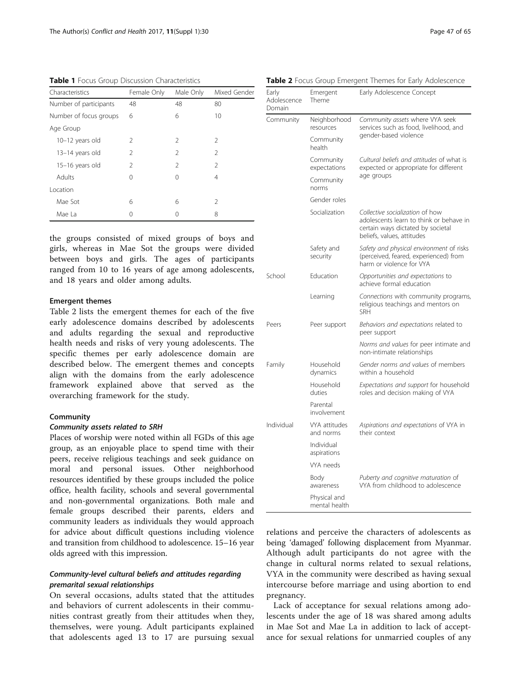<span id="page-4-0"></span>Table 1 Focus Group Discussion Characteristics

| Characteristics        | Female Only   | Male Only      | Mixed Gender   |  |
|------------------------|---------------|----------------|----------------|--|
| Number of participants | 48            | 48             | 80             |  |
| Number of focus groups | 6             | 6              | 10             |  |
| Age Group              |               |                |                |  |
| 10-12 years old        | $\mathcal{P}$ | 2              | $\mathcal{P}$  |  |
| 13-14 years old        | 2             | $\mathfrak{D}$ | $\mathfrak{D}$ |  |
| 15-16 years old        | 2             | $\mathcal{P}$  | $\mathcal{P}$  |  |
| Adults                 | 0             | 0              | 4              |  |
| Location               |               |                |                |  |
| Mae Sot                | 6             | 6              | $\mathcal{P}$  |  |
| Mae La                 | 0             | 0              | 8              |  |

the groups consisted of mixed groups of boys and girls, whereas in Mae Sot the groups were divided between boys and girls. The ages of participants ranged from 10 to 16 years of age among adolescents, and 18 years and older among adults.

#### Emergent themes

Table 2 lists the emergent themes for each of the five early adolescence domains described by adolescents and adults regarding the sexual and reproductive health needs and risks of very young adolescents. The specific themes per early adolescence domain are described below. The emergent themes and concepts align with the domains from the early adolescence framework explained above that served as the overarching framework for the study.

#### **Community**

#### Community assets related to SRH

Places of worship were noted within all FGDs of this age group, as an enjoyable place to spend time with their peers, receive religious teachings and seek guidance on moral and personal issues. Other neighborhood resources identified by these groups included the police office, health facility, schools and several governmental and non-governmental organizations. Both male and female groups described their parents, elders and community leaders as individuals they would approach for advice about difficult questions including violence and transition from childhood to adolescence. 15–16 year olds agreed with this impression.

## Community-level cultural beliefs and attitudes regarding premarital sexual relationships

On several occasions, adults stated that the attitudes and behaviors of current adolescents in their communities contrast greatly from their attitudes when they, themselves, were young. Adult participants explained that adolescents aged 13 to 17 are pursuing sexual

| Early<br>Adolescence<br>Domain | Emergent<br>Theme             | Early Adolescence Concept                                                                                                                     |  |
|--------------------------------|-------------------------------|-----------------------------------------------------------------------------------------------------------------------------------------------|--|
| Community                      | Neighborhood<br>resources     | Community assets where VYA seek<br>services such as food, livelihood, and                                                                     |  |
|                                | Community<br>health           | gender-based violence                                                                                                                         |  |
|                                | Community<br>expectations     | Cultural beliefs and attitudes of what is<br>expected or appropriate for different<br>age groups                                              |  |
|                                | Community<br>norms            |                                                                                                                                               |  |
|                                | Gender roles                  |                                                                                                                                               |  |
|                                | Socialization                 | Collective socialization of how<br>adolescents learn to think or behave in<br>certain ways dictated by societal<br>beliefs, values, attitudes |  |
|                                | Safety and<br>security        | Safety and physical environment of risks<br>(perceived, feared, experienced) from<br>harm or violence for VYA                                 |  |
| School                         | Education                     | Opportunities and expectations to<br>achieve formal education                                                                                 |  |
|                                | Learning                      | Connections with community programs,<br>religious teachings and mentors on<br>SRH                                                             |  |
| Peers                          | Peer support                  | Behaviors and expectations related to<br>peer support                                                                                         |  |
|                                |                               | Norms and values for peer intimate and<br>non-intimate relationships                                                                          |  |
| Family                         | Household<br>dynamics         | Gender norms and values of members<br>within a household                                                                                      |  |
|                                | Household<br>duties           | Expectations and support for household<br>roles and decision making of VYA                                                                    |  |
|                                | Parental<br>involvement       |                                                                                                                                               |  |
| Individual                     | VYA attitudes<br>and norms    | Aspirations and expectations of VYA in<br>their context                                                                                       |  |
|                                | Individual<br>aspirations     |                                                                                                                                               |  |
|                                | VYA needs                     |                                                                                                                                               |  |
|                                | Body<br>awareness             | Puberty and cognitive maturation of<br>VYA from childhood to adolescence                                                                      |  |
|                                | Physical and<br>mental health |                                                                                                                                               |  |

relations and perceive the characters of adolescents as being 'damaged' following displacement from Myanmar. Although adult participants do not agree with the change in cultural norms related to sexual relations, VYA in the community were described as having sexual intercourse before marriage and using abortion to end pregnancy.

Lack of acceptance for sexual relations among adolescents under the age of 18 was shared among adults in Mae Sot and Mae La in addition to lack of acceptance for sexual relations for unmarried couples of any

Table 2 Focus Group Emergent Themes for Early Adolescence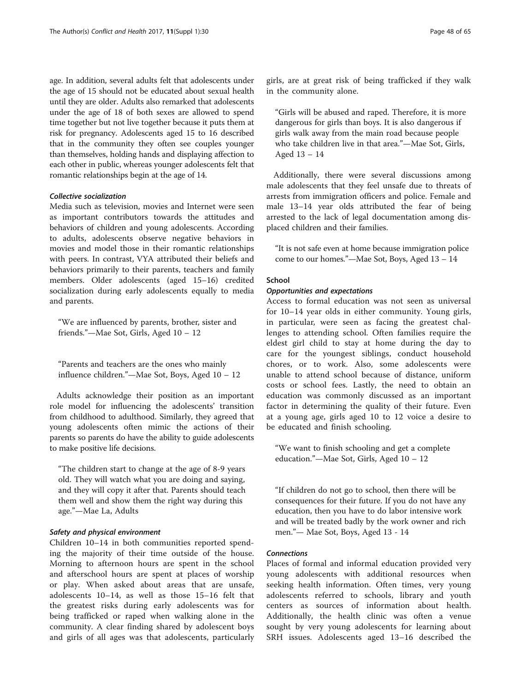age. In addition, several adults felt that adolescents under the age of 15 should not be educated about sexual health until they are older. Adults also remarked that adolescents under the age of 18 of both sexes are allowed to spend time together but not live together because it puts them at risk for pregnancy. Adolescents aged 15 to 16 described that in the community they often see couples younger than themselves, holding hands and displaying affection to each other in public, whereas younger adolescents felt that romantic relationships begin at the age of 14.

## Collective socialization

Media such as television, movies and Internet were seen as important contributors towards the attitudes and behaviors of children and young adolescents. According to adults, adolescents observe negative behaviors in movies and model those in their romantic relationships with peers. In contrast, VYA attributed their beliefs and behaviors primarily to their parents, teachers and family members. Older adolescents (aged 15–16) credited socialization during early adolescents equally to media and parents.

"We are influenced by parents, brother, sister and friends."—Mae Sot, Girls, Aged 10 – 12

"Parents and teachers are the ones who mainly influence children."—Mae Sot, Boys, Aged 10 – 12

Adults acknowledge their position as an important role model for influencing the adolescents' transition from childhood to adulthood. Similarly, they agreed that young adolescents often mimic the actions of their parents so parents do have the ability to guide adolescents to make positive life decisions.

"The children start to change at the age of 8-9 years old. They will watch what you are doing and saying, and they will copy it after that. Parents should teach them well and show them the right way during this age."—Mae La, Adults

#### Safety and physical environment

Children 10–14 in both communities reported spending the majority of their time outside of the house. Morning to afternoon hours are spent in the school and afterschool hours are spent at places of worship or play. When asked about areas that are unsafe, adolescents 10–14, as well as those 15–16 felt that the greatest risks during early adolescents was for being trafficked or raped when walking alone in the community. A clear finding shared by adolescent boys and girls of all ages was that adolescents, particularly

girls, are at great risk of being trafficked if they walk in the community alone.

"Girls will be abused and raped. Therefore, it is more dangerous for girls than boys. It is also dangerous if girls walk away from the main road because people who take children live in that area."—Mae Sot, Girls, Aged 13 – 14

Additionally, there were several discussions among male adolescents that they feel unsafe due to threats of arrests from immigration officers and police. Female and male 13–14 year olds attributed the fear of being arrested to the lack of legal documentation among displaced children and their families.

"It is not safe even at home because immigration police come to our homes."—Mae Sot, Boys, Aged 13 – 14

#### School

## Opportunities and expectations

Access to formal education was not seen as universal for 10–14 year olds in either community. Young girls, in particular, were seen as facing the greatest challenges to attending school. Often families require the eldest girl child to stay at home during the day to care for the youngest siblings, conduct household chores, or to work. Also, some adolescents were unable to attend school because of distance, uniform costs or school fees. Lastly, the need to obtain an education was commonly discussed as an important factor in determining the quality of their future. Even at a young age, girls aged 10 to 12 voice a desire to be educated and finish schooling.

"We want to finish schooling and get a complete education."—Mae Sot, Girls, Aged 10 – 12

"If children do not go to school, then there will be consequences for their future. If you do not have any education, then you have to do labor intensive work and will be treated badly by the work owner and rich men."— Mae Sot, Boys, Aged 13 - 14

## **Connections**

Places of formal and informal education provided very young adolescents with additional resources when seeking health information. Often times, very young adolescents referred to schools, library and youth centers as sources of information about health. Additionally, the health clinic was often a venue sought by very young adolescents for learning about SRH issues. Adolescents aged 13–16 described the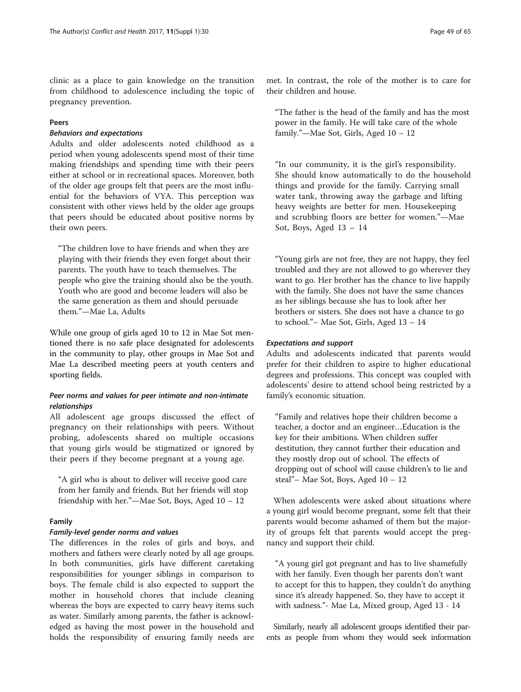clinic as a place to gain knowledge on the transition from childhood to adolescence including the topic of pregnancy prevention.

## Peers

## Behaviors and expectations

Adults and older adolescents noted childhood as a period when young adolescents spend most of their time making friendships and spending time with their peers either at school or in recreational spaces. Moreover, both of the older age groups felt that peers are the most influential for the behaviors of VYA. This perception was consistent with other views held by the older age groups that peers should be educated about positive norms by their own peers.

"The children love to have friends and when they are playing with their friends they even forget about their parents. The youth have to teach themselves. The people who give the training should also be the youth. Youth who are good and become leaders will also be the same generation as them and should persuade them."—Mae La, Adults

While one group of girls aged 10 to 12 in Mae Sot mentioned there is no safe place designated for adolescents in the community to play, other groups in Mae Sot and Mae La described meeting peers at youth centers and sporting fields.

## Peer norms and values for peer intimate and non-intimate relationships

All adolescent age groups discussed the effect of pregnancy on their relationships with peers. Without probing, adolescents shared on multiple occasions that young girls would be stigmatized or ignored by their peers if they become pregnant at a young age.

"A girl who is about to deliver will receive good care from her family and friends. But her friends will stop friendship with her."—Mae Sot, Boys, Aged 10 – 12

## Family

#### Family-level gender norms and values

The differences in the roles of girls and boys, and mothers and fathers were clearly noted by all age groups. In both communities, girls have different caretaking responsibilities for younger siblings in comparison to boys. The female child is also expected to support the mother in household chores that include cleaning whereas the boys are expected to carry heavy items such as water. Similarly among parents, the father is acknowledged as having the most power in the household and holds the responsibility of ensuring family needs are met. In contrast, the role of the mother is to care for their children and house.

"The father is the head of the family and has the most power in the family. He will take care of the whole family."—Mae Sot, Girls, Aged 10 – 12

"In our community, it is the girl's responsibility. She should know automatically to do the household things and provide for the family. Carrying small water tank, throwing away the garbage and lifting heavy weights are better for men. Housekeeping and scrubbing floors are better for women."—Mae Sot, Boys, Aged 13 – 14

"Young girls are not free, they are not happy, they feel troubled and they are not allowed to go wherever they want to go. Her brother has the chance to live happily with the family. She does not have the same chances as her siblings because she has to look after her brothers or sisters. She does not have a chance to go to school."– Mae Sot, Girls, Aged 13 – 14

## Expectations and support

Adults and adolescents indicated that parents would prefer for their children to aspire to higher educational degrees and professions. This concept was coupled with adolescents' desire to attend school being restricted by a family's economic situation.

"Family and relatives hope their children become a teacher, a doctor and an engineer…Education is the key for their ambitions. When children suffer destitution, they cannot further their education and they mostly drop out of school. The effects of dropping out of school will cause children's to lie and steal"– Mae Sot, Boys, Aged 10 – 12

When adolescents were asked about situations where a young girl would become pregnant, some felt that their parents would become ashamed of them but the majority of groups felt that parents would accept the pregnancy and support their child.

"A young girl got pregnant and has to live shamefully with her family. Even though her parents don't want to accept for this to happen, they couldn't do anything since it's already happened. So, they have to accept it with sadness."- Mae La, Mixed group, Aged 13 - 14

Similarly, nearly all adolescent groups identified their parents as people from whom they would seek information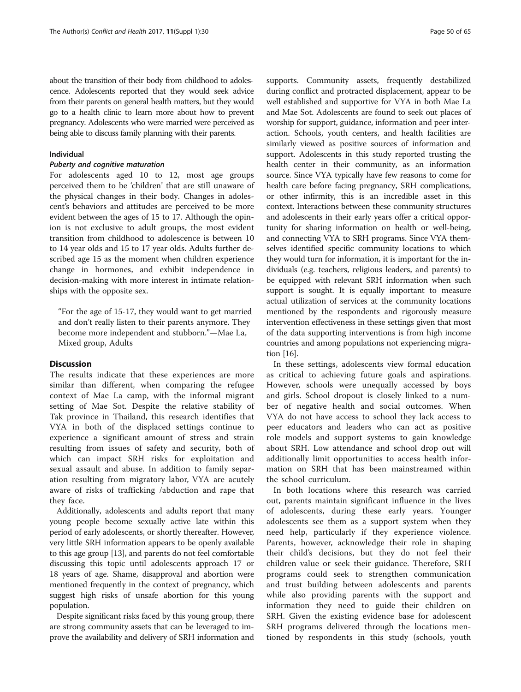about the transition of their body from childhood to adolescence. Adolescents reported that they would seek advice from their parents on general health matters, but they would go to a health clinic to learn more about how to prevent pregnancy. Adolescents who were married were perceived as being able to discuss family planning with their parents.

#### Individual

#### Puberty and cognitive maturation

For adolescents aged 10 to 12, most age groups perceived them to be 'children' that are still unaware of the physical changes in their body. Changes in adolescent's behaviors and attitudes are perceived to be more evident between the ages of 15 to 17. Although the opinion is not exclusive to adult groups, the most evident transition from childhood to adolescence is between 10 to 14 year olds and 15 to 17 year olds. Adults further described age 15 as the moment when children experience change in hormones, and exhibit independence in decision-making with more interest in intimate relationships with the opposite sex.

"For the age of 15-17, they would want to get married and don't really listen to their parents anymore. They become more independent and stubborn."—Mae La, Mixed group, Adults

## **Discussion**

The results indicate that these experiences are more similar than different, when comparing the refugee context of Mae La camp, with the informal migrant setting of Mae Sot. Despite the relative stability of Tak province in Thailand, this research identifies that VYA in both of the displaced settings continue to experience a significant amount of stress and strain resulting from issues of safety and security, both of which can impact SRH risks for exploitation and sexual assault and abuse. In addition to family separation resulting from migratory labor, VYA are acutely aware of risks of trafficking /abduction and rape that they face.

Additionally, adolescents and adults report that many young people become sexually active late within this period of early adolescents, or shortly thereafter. However, very little SRH information appears to be openly available to this age group [[13\]](#page-9-0), and parents do not feel comfortable discussing this topic until adolescents approach 17 or 18 years of age. Shame, disapproval and abortion were mentioned frequently in the context of pregnancy, which suggest high risks of unsafe abortion for this young population.

Despite significant risks faced by this young group, there are strong community assets that can be leveraged to improve the availability and delivery of SRH information and supports. Community assets, frequently destabilized during conflict and protracted displacement, appear to be well established and supportive for VYA in both Mae La and Mae Sot. Adolescents are found to seek out places of worship for support, guidance, information and peer interaction. Schools, youth centers, and health facilities are similarly viewed as positive sources of information and support. Adolescents in this study reported trusting the health center in their community, as an information source. Since VYA typically have few reasons to come for health care before facing pregnancy, SRH complications, or other infirmity, this is an incredible asset in this context. Interactions between these community structures and adolescents in their early years offer a critical opportunity for sharing information on health or well-being, and connecting VYA to SRH programs. Since VYA themselves identified specific community locations to which they would turn for information, it is important for the individuals (e.g. teachers, religious leaders, and parents) to be equipped with relevant SRH information when such support is sought. It is equally important to measure actual utilization of services at the community locations mentioned by the respondents and rigorously measure intervention effectiveness in these settings given that most of the data supporting interventions is from high income countries and among populations not experiencing migration [\[16\]](#page-9-0).

In these settings, adolescents view formal education as critical to achieving future goals and aspirations. However, schools were unequally accessed by boys and girls. School dropout is closely linked to a number of negative health and social outcomes. When VYA do not have access to school they lack access to peer educators and leaders who can act as positive role models and support systems to gain knowledge about SRH. Low attendance and school drop out will additionally limit opportunities to access health information on SRH that has been mainstreamed within the school curriculum.

In both locations where this research was carried out, parents maintain significant influence in the lives of adolescents, during these early years. Younger adolescents see them as a support system when they need help, particularly if they experience violence. Parents, however, acknowledge their role in shaping their child's decisions, but they do not feel their children value or seek their guidance. Therefore, SRH programs could seek to strengthen communication and trust building between adolescents and parents while also providing parents with the support and information they need to guide their children on SRH. Given the existing evidence base for adolescent SRH programs delivered through the locations mentioned by respondents in this study (schools, youth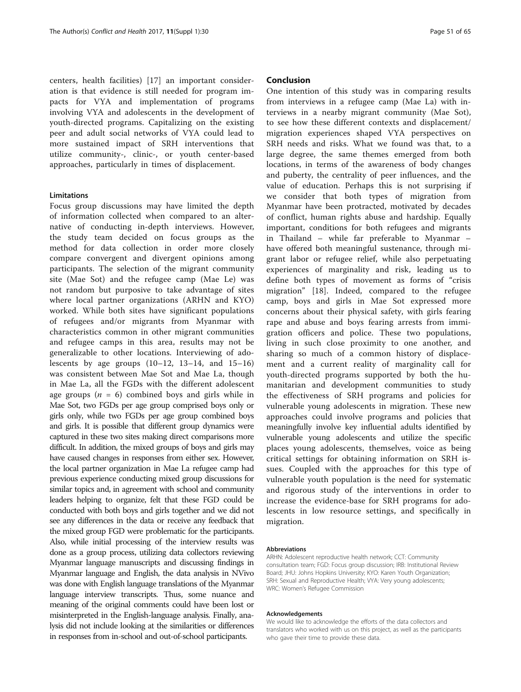centers, health facilities) [\[17](#page-9-0)] an important consideration is that evidence is still needed for program impacts for VYA and implementation of programs involving VYA and adolescents in the development of youth-directed programs. Capitalizing on the existing peer and adult social networks of VYA could lead to more sustained impact of SRH interventions that utilize community-, clinic-, or youth center-based approaches, particularly in times of displacement.

#### Limitations

Focus group discussions may have limited the depth of information collected when compared to an alternative of conducting in-depth interviews. However, the study team decided on focus groups as the method for data collection in order more closely compare convergent and divergent opinions among participants. The selection of the migrant community site (Mae Sot) and the refugee camp (Mae Le) was not random but purposive to take advantage of sites where local partner organizations (ARHN and KYO) worked. While both sites have significant populations of refugees and/or migrants from Myanmar with characteristics common in other migrant communities and refugee camps in this area, results may not be generalizable to other locations. Interviewing of adolescents by age groups  $(10-12, 13-14,$  and  $15-16)$ was consistent between Mae Sot and Mae La, though in Mae La, all the FGDs with the different adolescent age groups ( $n = 6$ ) combined boys and girls while in Mae Sot, two FGDs per age group comprised boys only or girls only, while two FGDs per age group combined boys and girls. It is possible that different group dynamics were captured in these two sites making direct comparisons more difficult. In addition, the mixed groups of boys and girls may have caused changes in responses from either sex. However, the local partner organization in Mae La refugee camp had previous experience conducting mixed group discussions for similar topics and, in agreement with school and community leaders helping to organize, felt that these FGD could be conducted with both boys and girls together and we did not see any differences in the data or receive any feedback that the mixed group FGD were problematic for the participants. Also, while initial processing of the interview results was done as a group process, utilizing data collectors reviewing Myanmar language manuscripts and discussing findings in Myanmar language and English, the data analysis in NVivo was done with English language translations of the Myanmar language interview transcripts. Thus, some nuance and meaning of the original comments could have been lost or misinterpreted in the English-language analysis. Finally, analysis did not include looking at the similarities or differences in responses from in-school and out-of-school participants.

## Conclusion

One intention of this study was in comparing results from interviews in a refugee camp (Mae La) with interviews in a nearby migrant community (Mae Sot), to see how these different contexts and displacement/ migration experiences shaped VYA perspectives on SRH needs and risks. What we found was that, to a large degree, the same themes emerged from both locations, in terms of the awareness of body changes and puberty, the centrality of peer influences, and the value of education. Perhaps this is not surprising if we consider that both types of migration from Myanmar have been protracted, motivated by decades of conflict, human rights abuse and hardship. Equally important, conditions for both refugees and migrants in Thailand – while far preferable to Myanmar – have offered both meaningful sustenance, through migrant labor or refugee relief, while also perpetuating experiences of marginality and risk, leading us to define both types of movement as forms of "crisis migration" [[18](#page-9-0)]. Indeed, compared to the refugee camp, boys and girls in Mae Sot expressed more concerns about their physical safety, with girls fearing rape and abuse and boys fearing arrests from immigration officers and police. These two populations, living in such close proximity to one another, and sharing so much of a common history of displacement and a current reality of marginality call for youth-directed programs supported by both the humanitarian and development communities to study the effectiveness of SRH programs and policies for vulnerable young adolescents in migration. These new approaches could involve programs and policies that meaningfully involve key influential adults identified by vulnerable young adolescents and utilize the specific places young adolescents, themselves, voice as being critical settings for obtaining information on SRH issues. Coupled with the approaches for this type of vulnerable youth population is the need for systematic and rigorous study of the interventions in order to increase the evidence-base for SRH programs for adolescents in low resource settings, and specifically in migration.

#### Abbreviations

ARHN: Adolescent reproductive health network; CCT: Community consultation team; FGD: Focus group discussion; IRB: Institutional Review Board; JHU: Johns Hopkins University; KYO: Karen Youth Organization; SRH: Sexual and Reproductive Health; VYA: Very young adolescents; WRC: Women's Refugee Commission

#### Acknowledgements

We would like to acknowledge the efforts of the data collectors and translators who worked with us on this project, as well as the participants who gave their time to provide these data.